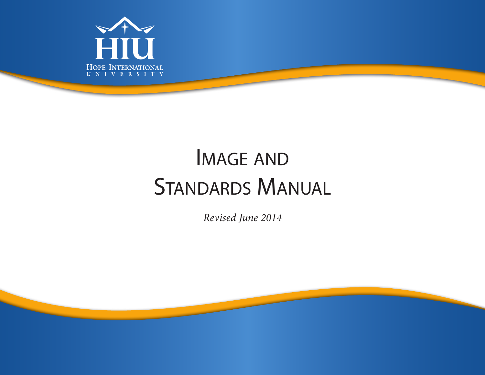

# Image and STANDARDS MANUAL

*Revised June 2014*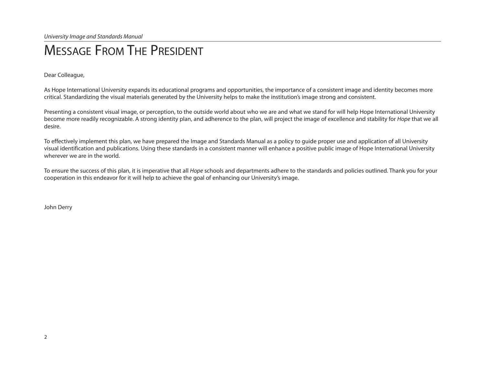### Message From The President

Dear Colleague,

As Hope International University expands its educational programs and opportunities, the importance of a consistent image and identity becomes more critical. Standardizing the visual materials generated by the University helps to make the institution's image strong and consistent.

Presenting a consistent visual image, or perception, to the outside world about who we are and what we stand for will help Hope International University become more readily recognizable. A strong identity plan, and adherence to the plan, will project the image of excellence and stability for *Hope* that we all desire.

To effectively implement this plan, we have prepared the Image and Standards Manual as a policy to guide proper use and application of all University visual identification and publications. Using these standards in a consistent manner will enhance a positive public image of Hope International University wherever we are in the world.

To ensure the success of this plan, it is imperative that all *Hope* schools and departments adhere to the standards and policies outlined. Thank you for your cooperation in this endeavor for it will help to achieve the goal of enhancing our University's image.

John Derry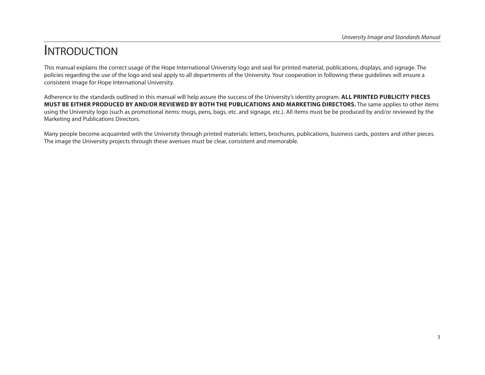### **INTRODUCTION**

This manual explains the correct usage of the Hope International University logo and seal for printed material, publications, displays, and signage. The policies regarding the use of the logo and seal apply to all departments of the University. Your cooperation in following these guidelines will ensure a consistent image for Hope International University.

Adherence to the standards outlined in this manual will help assure the success of the University's identity program. **ALL PRINTED PUBLICITY PIECES MUST BE EITHER PRODUCED BY AND/OR REVIEWED BY BOTH THE PUBLICATIONS AND MARKETING DIRECTORS.** The same applies to other items using the University logo (such as promotional items: mugs, pens, bags, etc. and signage, etc.). All items must be be produced by and/or reviewed by the Marketing and Publications Directors.

Many people become acquainted with the University through printed materials: letters, brochures, publications, business cards, posters and other pieces. The image the University projects through these avenues must be clear, consistent and memorable.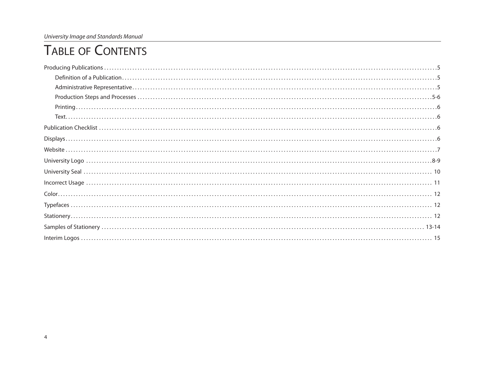*University Image and Standards Manual*

### Table of Contents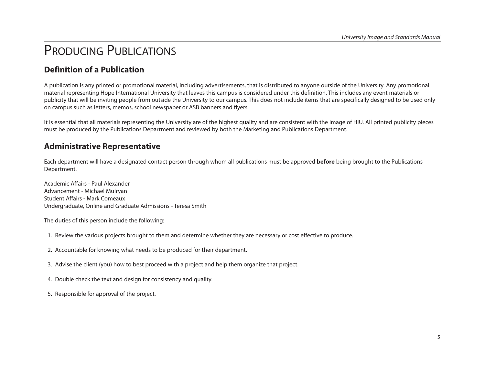### PRODUCING PUBLICATIONS

#### **Definition of a Publication**

A publication is any printed or promotional material, including advertisements, that is distributed to anyone outside of the University. Any promotional material representing Hope International University that leaves this campus is considered under this definition. This includes any event materials or publicity that will be inviting people from outside the University to our campus. This does not include items that are specifically designed to be used only on campus such as letters, memos, school newspaper or ASB banners and flyers.

It is essential that all materials representing the University are of the highest quality and are consistent with the image of HIU. All printed publicity pieces must be produced by the Publications Department and reviewed by both the Marketing and Publications Department.

#### **Administrative Representative**

Each department will have a designated contact person through whom all publications must be approved **before** being brought to the Publications Department.

Academic Affairs - Paul Alexander Advancement - Michael Mulryan Student Affairs - Mark Comeaux Undergraduate, Online and Graduate Admissions - Teresa Smith

The duties of this person include the following:

- 1. Review the various projects brought to them and determine whether they are necessary or cost effective to produce.
- 2. Accountable for knowing what needs to be produced for their department.
- 3. Advise the client (you) how to best proceed with a project and help them organize that project.
- 4. Double check the text and design for consistency and quality.
- 5. Responsible for approval of the project.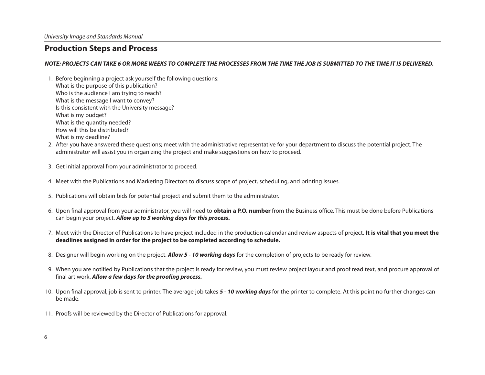#### **Production Steps and Process**

#### *NOTE: PROJECTS CAN TAKE 6 OR MORE WEEKS TO COMPLETE THE PROCESSES FROM THE TIME THE JOB IS SUBMITTED TO THE TIME IT IS DELIVERED.*

- 1. Before beginning a project ask yourself the following questions: What is the purpose of this publication? Who is the audience I am trying to reach? What is the message I want to convey? Is this consistent with the University message? What is my budget? What is the quantity needed? How will this be distributed? What is my deadline?
- 2. After you have answered these questions; meet with the administrative representative for your department to discuss the potential project. The administrator will assist you in organizing the project and make suggestions on how to proceed.
- 3. Get initial approval from your administrator to proceed.
- 4. Meet with the Publications and Marketing Directors to discuss scope of project, scheduling, and printing issues.
- 5. Publications will obtain bids for potential project and submit them to the administrator.
- 6. Upon final approval from your administrator, you will need to **obtain a P.O. number** from the Business office. This must be done before Publications can begin your project. *Allow up to 5 working days for this process.*
- 7. Meet with the Director of Publications to have project included in the production calendar and review aspects of project. **It is vital that you meet the deadlines assigned in order for the project to be completed according to schedule.**
- 8. Designer will begin working on the project. *Allow 5 10 working days* for the completion of projects to be ready for review.
- 9. When you are notified by Publications that the project is ready for review, you must review project layout and proof read text, and procure approval of final art work. *Allow a few days for the proofing process.*
- 10. Upon final approval, job is sent to printer. The average job takes *5 10 working days* for the printer to complete. At this point no further changes can be made.
- 11. Proofs will be reviewed by the Director of Publications for approval.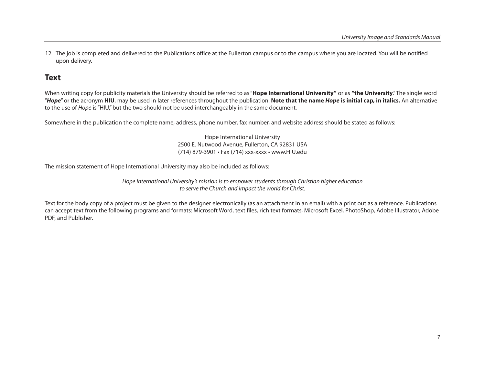12. The job is completed and delivered to the Publications office at the Fullerton campus or to the campus where you are located. You will be notified upon delivery.

#### **Text**

When writing copy for publicity materials the University should be referred to as "**Hope International University"** or as **"the University**." The single word "*Hope*" or the acronym **HIU**, may be used in later references throughout the publication. **Note that the name** *Hope* **is initial cap, in italics.** An alternative to the use of *Hope* is "HIU," but the two should not be used interchangeably in the same document.

Somewhere in the publication the complete name, address, phone number, fax number, and website address should be stated as follows:

Hope International University 2500 E. Nutwood Avenue, Fullerton, CA 92831 USA (714) 879-3901 • Fax (714) xxx-xxxx • www.HIU.edu

The mission statement of Hope International University may also be included as follows:

*Hope International University's mission is to empower students through Christian higher education to serve the Church and impact the world for Christ.*

Text for the body copy of a project must be given to the designer electronically (as an attachment in an email) with a print out as a reference. Publications can accept text from the following programs and formats: Microsoft Word, text files, rich text formats, Microsoft Excel, PhotoShop, Adobe Illustrator, Adobe PDF, and Publisher.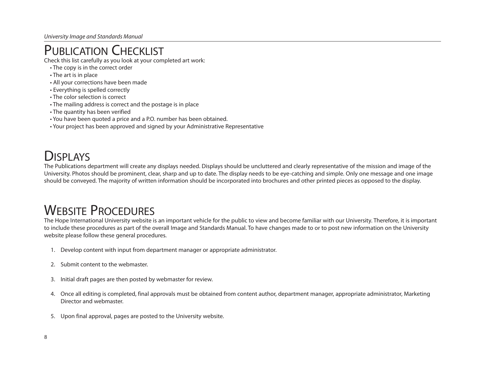### PUBLICATION CHECKLIST

Check this list carefully as you look at your completed art work:

- The copy is in the correct order
- The art is in place
- All your corrections have been made
- Everything is spelled correctly
- The color selection is correct
- The mailing address is correct and the postage is in place
- The quantity has been verified
- You have been quoted a price and a P.O. number has been obtained.
- Your project has been approved and signed by your Administrative Representative

### DISPI AYS

The Publications department will create any displays needed. Displays should be uncluttered and clearly representative of the mission and image of the University. Photos should be prominent, clear, sharp and up to date. The display needs to be eye-catching and simple. Only one message and one image should be conveyed. The majority of written information should be incorporated into brochures and other printed pieces as opposed to the display.

### WEBSITE PROCEDURES

The Hope International University website is an important vehicle for the public to view and become familiar with our University. Therefore, it is important to include these procedures as part of the overall Image and Standards Manual. To have changes made to or to post new information on the University website please follow these general procedures.

- 1. Develop content with input from department manager or appropriate administrator.
- 2. Submit content to the webmaster.
- 3. Initial draft pages are then posted by webmaster for review.
- 4. Once all editing is completed, final approvals must be obtained from content author, department manager, appropriate administrator, Marketing Director and webmaster.
- 5. Upon final approval, pages are posted to the University website.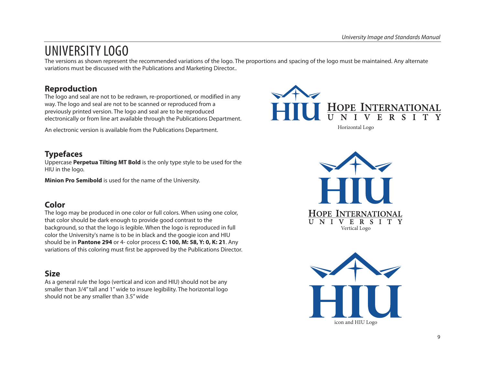### UNIVERSITY LOGO

The versions as shown represent the recommended variations of the logo. The proportions and spacing of the logo must be maintained. Any alternate variations must be discussed with the Publications and Marketing Director..

#### **Reproduction**

The logo and seal are not to be redrawn, re-proportioned, or modified in any way. The logo and seal are not to be scanned or reproduced from a previously printed version. The logo and seal are to be reproduced electronically or from line art available through the Publications Department.

An electronic version is available from the Publications Department.



#### **Typefaces**

Uppercase **Perpetua Tilting MT Bold** is the only type style to be used for the HIU in the logo.

**Minion Pro Semibold** is used for the name of the University.

#### **Color**

The logo may be produced in one color or full colors. When using one color, that color should be dark enough to provide good contrast to the background, so that the logo is legible. When the logo is reproduced in full color the University's name is to be in black and the googie icon and HIU should be in **Pantone 294** or 4- color process **C: 100, M: 58, Y: 0, K: 21**. Any variations of this coloring must first be approved by the Publications Director.

#### **Size**

As a general rule the logo (vertical and icon and HIU) should not be any smaller than 3/4" tall and 1" wide to insure legibility. The horizontal logo should not be any smaller than 3.5" wide



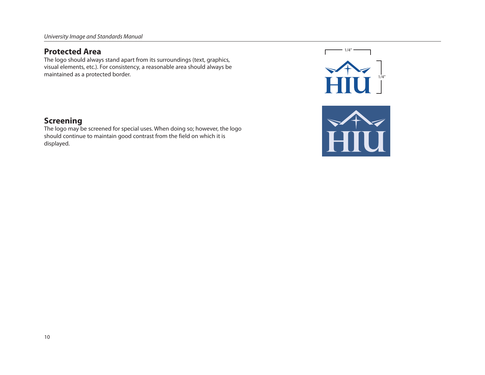#### **Protected Area**

The logo should always stand apart from its surroundings (text, graphics, visual elements, etc.). For consistency, a reasonable area should always be maintained as a protected border.



#### **Screening**

The logo may be screened for special uses. When doing so; however, the logo should continue to maintain good contrast from the field on which it is displayed.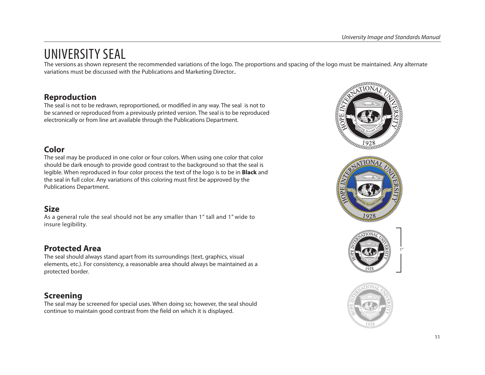### UNIVERSITY SEAL

The versions as shown represent the recommended variations of the logo. The proportions and spacing of the logo must be maintained. Any alternate variations must be discussed with the Publications and Marketing Director..

#### **Reproduction**

The seal is not to be redrawn, reproportioned, or modified in any way. The seal is not to be scanned or reproduced from a previously printed version. The seal is to be reproduced electronically or from line art available through the Publications Department.

#### **Color**

The seal may be produced in one color or four colors. When using one color that color should be dark enough to provide good contrast to the background so that the seal is legible. When reproduced in four color process the text of the logo is to be in **Black** and the seal in full color. Any variations of this coloring must first be approved by the Publications Department.

#### **Size**

As a general rule the seal should not be any smaller than 1" tall and 1" wide to insure legibility.

#### **Protected Area**

The seal should always stand apart from its surroundings (text, graphics, visual elements, etc.). For consistency, a reasonable area should always be maintained as a protected border.

### **Screening**

The seal may be screened for special uses. When doing so; however, the seal should continue to maintain good contrast from the field on which it is displayed.



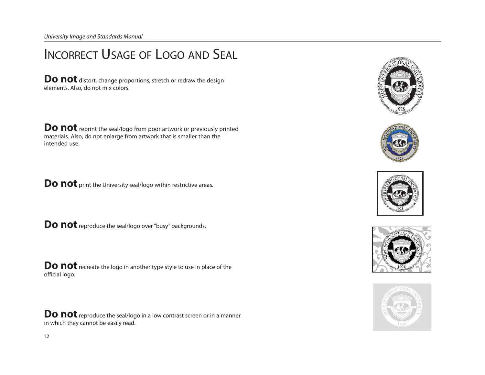*University Image and Standards Manual*

## Incorrect Usage of Logo and Seal

**Do not** distort, change proportions, stretch or redraw the design elements. Also, do not mix colors.

**Do not** reprint the seal/logo from poor artwork or previously printed materials. Also, do not enlarge from artwork that is smaller than the intended use.

**Do not** print the University seal/logo within restrictive areas.

**Do not** reproduce the seal/logo over "busy" backgrounds.

**Do not** recreate the logo in another type style to use in place of the official logo.

**Do not** reproduce the seal/logo in a low contrast screen or in a manner in which they cannot be easily read.









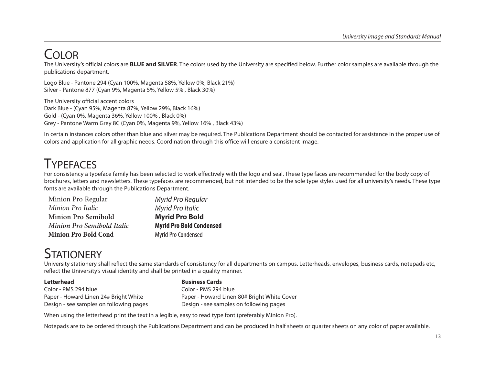### Color

The University's official colors are **BLUE and SILVER**. The colors used by the University are specified below. Further color samples are available through the publications department.

Logo Blue - Pantone 294 (Cyan 100%, Magenta 58%, Yellow 0%, Black 21%) Silver - Pantone 877 (Cyan 9%, Magenta 5%, Yellow 5% , Black 30%)

The University official accent colors Dark Blue - (Cyan 95%, Magenta 87%, Yellow 29%, Black 16%) Gold - (Cyan 0%, Magenta 36%, Yellow 100% , Black 0%) Grey - Pantone Warm Grey 8C (Cyan 0%, Magenta 9%, Yellow 16% , Black 43%)

In certain instances colors other than blue and silver may be required. The Publications Department should be contacted for assistance in the proper use of colors and application for all graphic needs. Coordination through this office will ensure a consistent image.

### **TYPFFACES**

For consistency a typeface family has been selected to work effectively with the logo and seal. These type faces are recommended for the body copy of brochures, letters and newsletters. These typefaces are recommended, but not intended to be the sole type styles used for all university's needs. These type fonts are available through the Publications Department.

| Minion Pro Regular                | Myrid Pro Regular               |
|-----------------------------------|---------------------------------|
| Minion Pro Italic                 | <b>Myrid Pro Italic</b>         |
| <b>Minion Pro Semibold</b>        | <b>Myrid Pro Bold</b>           |
| <b>Minion Pro Semibold Italic</b> | <b>Myrid Pro Bold Condensed</b> |
| <b>Minion Pro Bold Cond</b>       | Myrid Pro Condensed             |

### **STATIONERY**

University stationery shall reflect the same standards of consistency for all departments on campus. Letterheads, envelopes, business cards, notepads etc, reflect the University's visual identity and shall be printed in a quality manner.

Color - PMS 294 blue Color - PMS 294 blue Design - see samples on following pages Design - see samples on following pages

#### **Letterhead Business Cards**

Paper - Howard Linen 24# Bright White Paper - Howard Linen 80# Bright White Cover

When using the letterhead print the text in a legible, easy to read type font (preferably Minion Pro).

Notepads are to be ordered through the Publications Department and can be produced in half sheets or quarter sheets on any color of paper available.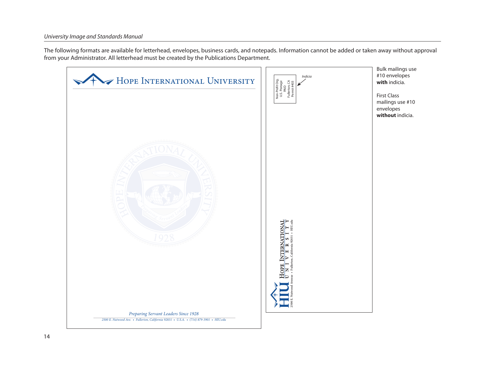The following formats are available for letterhead, envelopes, business cards, and notepads. Information cannot be added or taken away without approval from your Administrator. All letterhead must be created by the Publications Department.

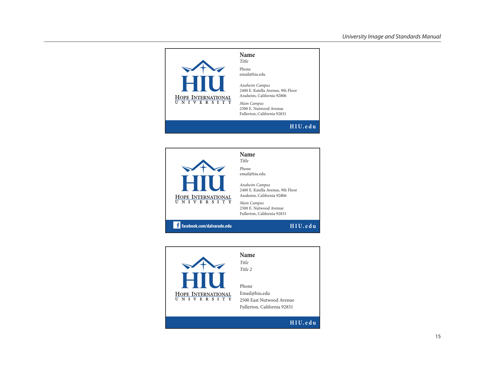